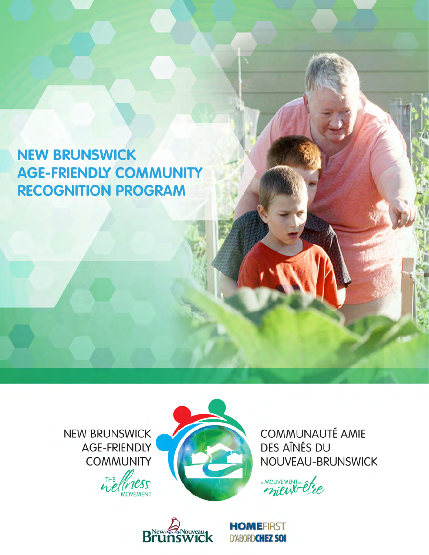## **NEW BRUNSWICK AGE-FRIENDLY COMMUNITY RECOGNITION PROGRAM**

**NEW BRUNSWICK** AGE-FRIENDLY **COMMUNITY** 





**COMMUNAUTÉ AMIE** DES AÎNÉS DU NOUVEAU-BRUNSWICK

"MOUVEMENT"



**HOMEFIRST D'ABORDCHEZ SOI**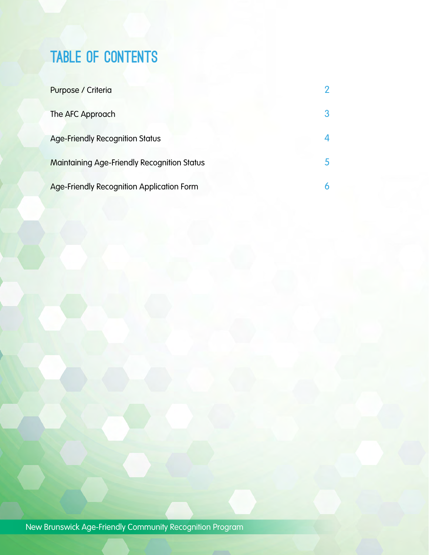# TABLE OF CONTENTS

| Purpose / Criteria                               | 2 |
|--------------------------------------------------|---|
| The AFC Approach                                 | 3 |
| <b>Age-Friendly Recognition Status</b>           |   |
| Maintaining Age-Friendly Recognition Status      |   |
| <b>Age-Friendly Recognition Application Form</b> | 6 |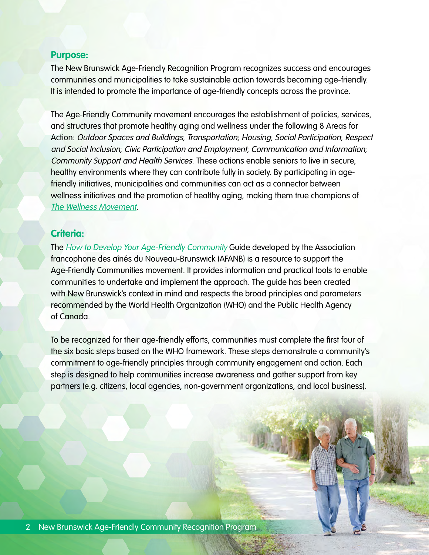#### **Purpose:**

The New Brunswick Age-Friendly Recognition Program recognizes success and encourages communities and municipalities to take sustainable action towards becoming age-friendly. It is intended to promote the importance of age-friendly concepts across the province.

The Age-Friendly Community movement encourages the establishment of policies, services, and structures that promote healthy aging and wellness under the following 8 Areas for Action: Outdoor Spaces and Buildings; Transportation; Housing; Social Participation; Respect and Social Inclusion; Civic Participation and Employment; Communication and Information; Community Support and Health Services. These actions enable seniors to live in secure, healthy environments where they can contribute fully in society. By participating in agefriendly initiatives, municipalities and communities can act as a connector between wellness initiatives and the promotion of healthy aging, making them true champions of [The Wellness Movement](http://www.wellnessnb.ca).

#### **Criteria:**

The [How to Develop Your Age-Friendly Community](http://www.wellnessnb.ca/resources/age-friendly-guide/) Guide developed by the Association francophone des aînés du Nouveau-Brunswick (AFANB) is a resource to support the Age-Friendly Communities movement. It provides information and practical tools to enable communities to undertake and implement the approach. The guide has been created with New Brunswick's context in mind and respects the broad principles and parameters recommended by the World Health Organization (WHO) and the Public Health Agency of Canada.

To be recognized for their age-friendly efforts, communities must complete the first four of the six basic steps based on the WHO framework. These steps demonstrate a community's commitment to age-friendly principles through community engagement and action. Each step is designed to help communities increase awareness and gather support from key partners (e.g. citizens, local agencies, non-government organizations, and local business).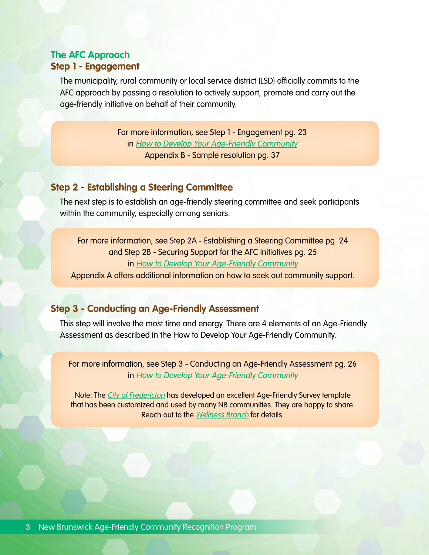## **The AFC Approach Step 1 - Engagement**

 The municipality, rural community or local service district (LSD) officially commits to the AFC approach by passing a resolution to actively support, promote and carry out the age-friendly initiative on behalf of their community.

> For more information, see Step 1 - Engagement pg. 23 in [How to Develop Your Age-Friendly Community](http://www.wellnessnb.ca/resources/age-friendly-guide/) Appendix B - Sample resolution pg. 37

## **Step 2 - Establishing a Steering Committee**

 The next step is to establish an age-friendly steering committee and seek participants within the community, especially among seniors.

For more information, see Step 2A - Establishing a Steering Committee pg. 24 and Step 2B - Securing Support for the AFC Initiatives pg. 25 in [How to Develop Your Age-Friendly Community](http://www.wellnessnb.ca/resources/age-friendly-guide/)

Appendix A offers additional information on how to seek out community support.

## **Step 3 - Conducting an Age-Friendly Assessment**

This step will involve the most time and energy. There are 4 elements of an Age-Friendly Assessment as described in the How to Develop Your Age-Friendly Community.

For more information, see Step 3 - Conducting an Age-Friendly Assessment pg. 26 in [How to Develop Your Age-Friendly Community](http://www.wellnessnb.ca/resources/age-friendly-guide/)

Note: The [City of Fredericton](http://www.fredericton.ca/en) has developed an excellent Age-Friendly Survey template that has been customized and used by many NB communities. They are happy to share. Reach out to the [Wellness Branch](http://www.wellnessnb.ca/regions/) for details.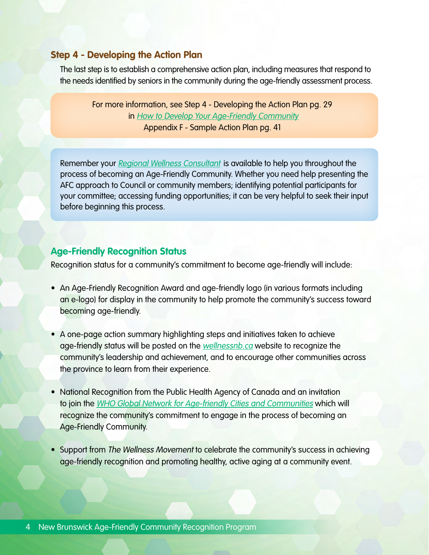## **Step 4 - Developing the Action Plan**

 The last step is to establish a comprehensive action plan, including measures that respond to the needs identified by seniors in the community during the age-friendly assessment process.

For more information, see Step 4 - Developing the Action Plan pg. 29 in [How to Develop Your Age-Friendly Community](http://www.wellnessnb.ca/resources/age-friendly-guide/) Appendix F - Sample Action Plan pg. 41

Remember your [Regional Wellness Consultant](http://www.wellnessnb.ca/regions/) is available to help you throughout the process of becoming an Age-Friendly Community. Whether you need help presenting the AFC approach to Council or community members; identifying potential participants for your committee; accessing funding opportunities; it can be very helpful to seek their input before beginning this process.

## **Age-Friendly Recognition Status**

Recognition status for a community's commitment to become age-friendly will include:

- An Age-Friendly Recognition Award and age-friendly logo (in various formats including an e-logo) for display in the community to help promote the community's success toward becoming age-friendly.
- A one-page action summary highlighting steps and initiatives taken to achieve age-friendly status will be posted on the [wellnessnb.ca](http://wellnessnb.ca) website to recognize the community's leadership and achievement, and to encourage other communities across the province to learn from their experience.
- National Recognition from the Public Health Agency of Canada and an invitation to join the [WHO Global Network for Age-friendly Cities and Communities](http://www.who.int/ageing/projects/age_friendly_cities_network/en/) which will recognize the community's commitment to engage in the process of becoming an Age-Friendly Community.
- Support from The Wellness Movement to celebrate the community's success in achieving age-friendly recognition and promoting healthy, active aging at a community event.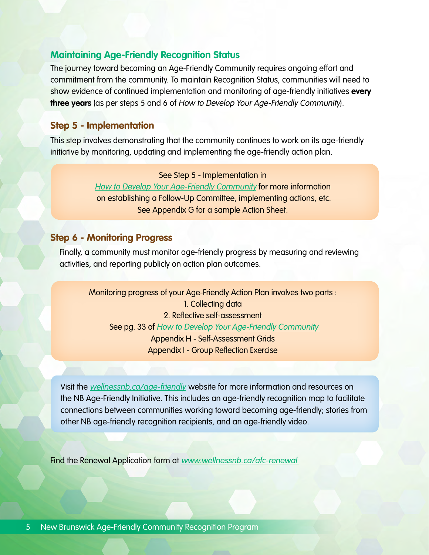#### **Maintaining Age-Friendly Recognition Status**

The journey toward becoming an Age-Friendly Community requires ongoing effort and commitment from the community. To maintain Recognition Status, communities will need to show evidence of continued implementation and monitoring of age-friendly initiatives **every three years** (as per steps 5 and 6 of How to Develop Your Age-Friendly Community).

## **Step 5 - Implementation**

This step involves demonstrating that the community continues to work on its age-friendly initiative by monitoring, updating and implementing the age-friendly action plan.

See Step 5 - Implementation in

[How to Develop Your Age-Friendly Community](http://www.wellnessnb.ca/resources/age-friendly-guide/) for more information on establishing a Follow-Up Committee, implementing actions, etc. See Appendix G for a sample Action Sheet.

#### **Step 6 - Monitoring Progress**

 Finally, a community must monitor age-friendly progress by measuring and reviewing activities, and reporting publicly on action plan outcomes.

Monitoring progress of your Age-Friendly Action Plan involves two parts : 1. Collecting data 2. Reflective self-assessment See pg. 33 of How to Develop Your Age-Friendly Community Appendix H - Self-Assessment Grids Appendix I - Group Reflection Exercise

Visit the [wellnessnb.ca/age-friendly](http://www.wellnessnb.ca/seniors/age-friendly-communities/) website for more information and resources on the NB Age-Friendly Initiative. This includes an age-friendly recognition map to facilitate connections between communities working toward becoming age-friendly; stories from other NB age-friendly recognition recipients, and an age-friendly video.

Find the Renewal Application form at www.wellnessnb.ca/afc-renewal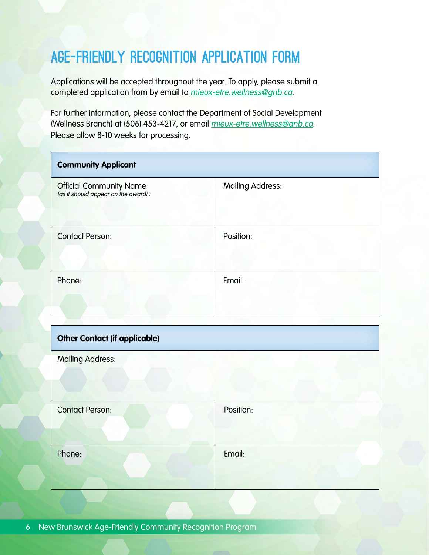## AGE-FRIENDLY Recognition Application Form

Applications will be accepted throughout the year. To apply, please submit a completed application from by email to mieux-etre.wellness@gnb.ca.

For further information, please contact the Department of Social Development (Wellness Branch) at (506) 453-4217, or email mieux-etre.wellness@gnb.ca. Please allow 8-10 weeks for processing.

| <b>Community Applicant</b>                                             |                         |
|------------------------------------------------------------------------|-------------------------|
| <b>Official Community Name</b><br>(as it should appear on the award) : | <b>Mailing Address:</b> |
| <b>Contact Person:</b>                                                 | Position:               |
| Phone:                                                                 | Email:                  |

| <b>Other Contact (if applicable)</b> |           |  |
|--------------------------------------|-----------|--|
| <b>Mailing Address:</b>              |           |  |
| <b>Contact Person:</b>               | Position: |  |
| Phone:                               | Email:    |  |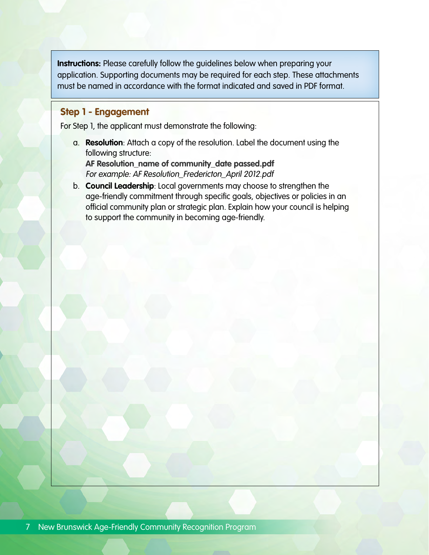**Instructions:** Please carefully follow the guidelines below when preparing your application. Supporting documents may be required for each step. These attachments must be named in accordance with the format indicated and saved in PDF format.

#### **Step 1 - Engagement**

For Step 1, the applicant must demonstrate the following:

a. **Resolution**: Attach a copy of the resolution. Label the document using the following structure:

**AF Resolution\_name of community\_date passed.pdf**  For example: AF Resolution\_Fredericton\_April 2012.pdf

b. **Council Leadership**: Local governments may choose to strengthen the age-friendly commitment through specific goals, objectives or policies in an official community plan or strategic plan. Explain how your council is helping to support the community in becoming age-friendly.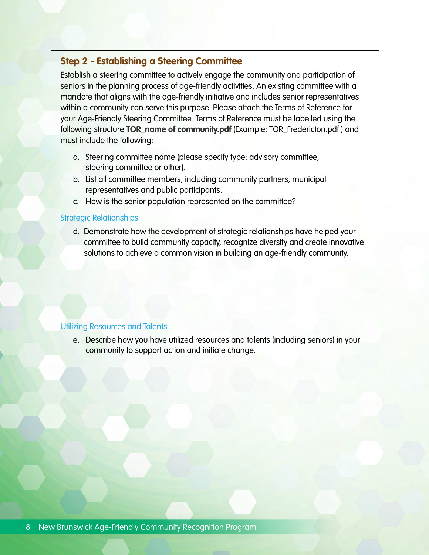## **Step 2 - Establishing a Steering Committee**

Establish a steering committee to actively engage the community and participation of seniors in the planning process of age-friendly activities. An existing committee with a mandate that aligns with the age-friendly initiative and includes senior representatives within a community can serve this purpose. Please attach the Terms of Reference for your Age-Friendly Steering Committee. Terms of Reference must be labelled using the following structure **TOR\_name of community.pdf** (Example: TOR\_Fredericton.pdf ) and must include the following:

- a. Steering committee name (please specify type: advisory committee, steering committee or other).
- b. List all committee members, including community partners, municipal representatives and public participants.
- c. How is the senior population represented on the committee?

#### Strategic Relationships

 d. Demonstrate how the development of strategic relationships have helped your committee to build community capacity, recognize diversity and create innovative solutions to achieve a common vision in building an age-friendly community.

#### Utilizing Resources and Talents

e. Describe how you have utilized resources and talents (including seniors) in your community to support action and initiate change.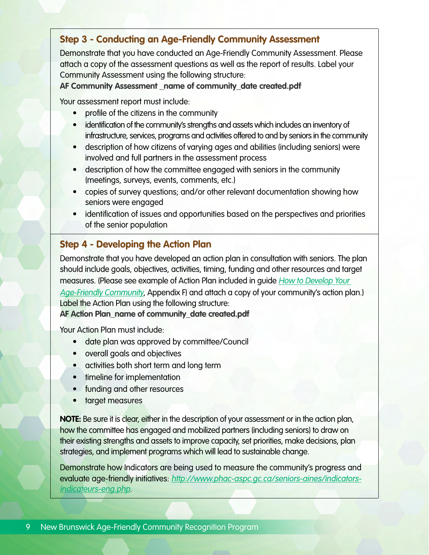## **Step 3 - Conducting an Age-Friendly Community Assessment**

Demonstrate that you have conducted an Age-Friendly Community Assessment. Please attach a copy of the assessment questions as well as the report of results. Label your Community Assessment using the following structure:

AF Community Assessment name of community date created.pdf

Your assessment report must include:

- profile of the citizens in the community
- identification of the community's strengths and assets which includes an inventory of infrastructure, services, programs and activities offered to and by seniors in the community
- description of how citizens of varying ages and abilities (including seniors) were involved and full partners in the assessment process
- description of how the committee engaged with seniors in the community (meetings, surveys, events, comments, etc.)
- copies of survey questions; and/or other relevant documentation showing how seniors were engaged
- identification of issues and opportunities based on the perspectives and priorities of the senior population

## **Step 4 - Developing the Action Plan**

Demonstrate that you have developed an action plan in consultation with seniors. The plan should include goals, objectives, activities, timing, funding and other resources and target measures. (Please see example of Action Plan included in guide *How to Develop Your* [Age-Friendly Community](http://www.wellnessnb.ca/resources/age-friendly-guide/), Appendix F) and attach a copy of your community's action plan.) Label the Action Plan using the following structure:

**AF Action Plan\_name of community\_date created.pdf**

Your Action Plan must include:

- date plan was approved by committee/Council
- overall goals and objectives
- activities both short term and long term
- timeline for implementation
- funding and other resources
- target measures

**NOTE:** Be sure it is clear, either in the description of your assessment or in the action plan, how the committee has engaged and mobilized partners (including seniors) to draw on their existing strengths and assets to improve capacity, set priorities, make decisions, plan strategies, and implement programs which will lead to sustainable change.

Demonstrate how Indicators are being used to measure the community's progress and evaluate age-friendly initiatives: [http://www.phac-aspc.gc.ca/seniors-aines/indicators](http://www.phac-aspc.gc.ca/seniors-aines/indicators-indicateurs-eng.php)[indicateurs-eng.php](http://www.phac-aspc.gc.ca/seniors-aines/indicators-indicateurs-eng.php).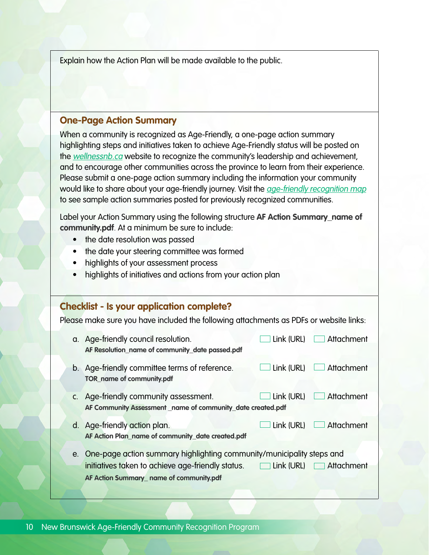Explain how the Action Plan will be made available to the public.

#### **One-Page Action Summary**

When a community is recognized as Age-Friendly, a one-page action summary highlighting steps and initiatives taken to achieve Age-Friendly status will be posted on the [wellnessnb.ca](http://wellnessnb.ca) website to recognize the community's leadership and achievement, and to encourage other communities across the province to learn from their experience. Please submit a one-page action summary including the information your community would like to share about your age-friendly journey. Visit the *[age-friendly recognition map](http://www.wellnessnb.ca/seniors/age-friendly-communities/#map)* to see sample action summaries posted for previously recognized communities.

Label your Action Summary using the following structure **AF Action Summary\_name of community.pdf**. At a minimum be sure to include:

- the date resolution was passed
- the date your steering committee was formed
- highlights of your assessment process
- highlights of initiatives and actions from your action plan

## **Checklist - Is your application complete?**

Please make sure you have included the following attachments as PDFs or website links: